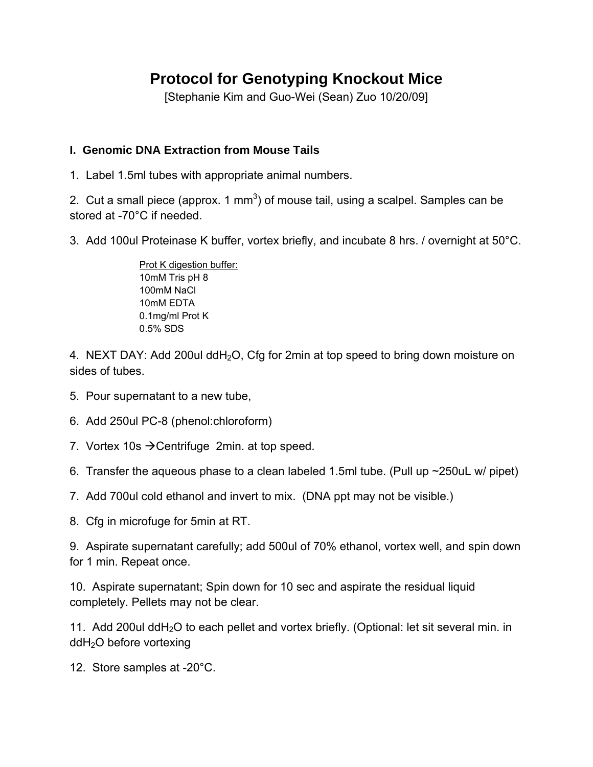# **Protocol for Genotyping Knockout Mice**

[Stephanie Kim and Guo-Wei (Sean) Zuo 10/20/09]

## **I. Genomic DNA Extraction from Mouse Tails**

1. Label 1.5ml tubes with appropriate animal numbers.

2. Cut a small piece (approx. 1 mm<sup>3</sup>) of mouse tail, using a scalpel. Samples can be stored at -70°C if needed.

3. Add 100ul Proteinase K buffer, vortex briefly, and incubate 8 hrs. / overnight at 50°C.

Prot K digestion buffer: 10mM Tris pH 8 100mM NaCl 10mM EDTA 0.1mg/ml Prot K 0.5% SDS

4. NEXT DAY: Add 200ul ddH<sub>2</sub>O, Cfg for 2min at top speed to bring down moisture on sides of tubes.

- 5. Pour supernatant to a new tube,
- 6. Add 250ul PC-8 (phenol:chloroform)
- 7. Vortex 10s  $\rightarrow$  Centrifuge 2min. at top speed.
- 6. Transfer the aqueous phase to a clean labeled 1.5ml tube. (Pull up ~250uL w/ pipet)
- 7. Add 700ul cold ethanol and invert to mix. (DNA ppt may not be visible.)
- 8. Cfg in microfuge for 5min at RT.

9. Aspirate supernatant carefully; add 500ul of 70% ethanol, vortex well, and spin down for 1 min. Repeat once.

10. Aspirate supernatant; Spin down for 10 sec and aspirate the residual liquid completely. Pellets may not be clear.

11. Add 200 $\mu$  ddH<sub>2</sub>O to each pellet and vortex briefly. (Optional: let sit several min. in ddH2O before vortexing

12. Store samples at -20°C.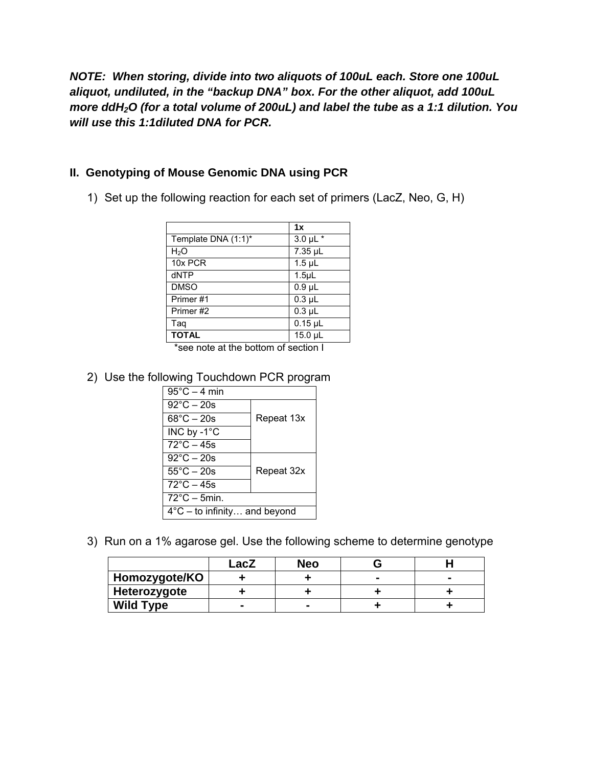*NOTE: When storing, divide into two aliquots of 100uL each. Store one 100uL aliquot, undiluted, in the "backup DNA" box. For the other aliquot, add 100uL more ddH2O (for a total volume of 200uL) and label the tube as a 1:1 dilution. You will use this 1:1diluted DNA for PCR.* 

## **II. Genotyping of Mouse Genomic DNA using PCR**

1) Set up the following reaction for each set of primers (LacZ, Neo, G, H)

|                     | 1x                 |  |
|---------------------|--------------------|--|
| Template DNA (1:1)* | $3.0 \mu L$ *      |  |
| H <sub>2</sub> O    | 7.35 µL            |  |
| 10x PCR             | $1.5$ µL           |  |
| dNTP                | 1.5 <sub>µ</sub> L |  |
| <b>DMSO</b>         | $0.9$ µL           |  |
| Primer#1            | $0.3 \mu L$        |  |
| Primer#2            | $0.3$ $\mu$ L      |  |
| Taq                 | $0.15$ µL          |  |
| <b>TOTAL</b>        | 15.0 µL            |  |

\*see note at the bottom of section I

#### 2) Use the following Touchdown PCR program

| $95^{\circ}$ C – 4 min                 |            |  |  |
|----------------------------------------|------------|--|--|
| $92^{\circ}$ C - 20s                   |            |  |  |
| $68^{\circ}$ C – 20s                   | Repeat 13x |  |  |
| INC by $-1^{\circ}$ C                  |            |  |  |
| $72^{\circ}$ C – 45s                   |            |  |  |
| $92^{\circ}$ C – 20s                   |            |  |  |
| $55^{\circ}$ C – 20s                   | Repeat 32x |  |  |
| $72^{\circ}$ C – 45s                   |            |  |  |
| $72^{\circ}$ C – 5min.                 |            |  |  |
| $4^{\circ}$ C – to infinity and beyond |            |  |  |

3) Run on a 1% agarose gel. Use the following scheme to determine genotype

|                  | _acZ | Neo    |  |
|------------------|------|--------|--|
| Homozygote/KO    |      |        |  |
| Heterozygote     |      |        |  |
| <b>Wild Type</b> |      | $\sim$ |  |